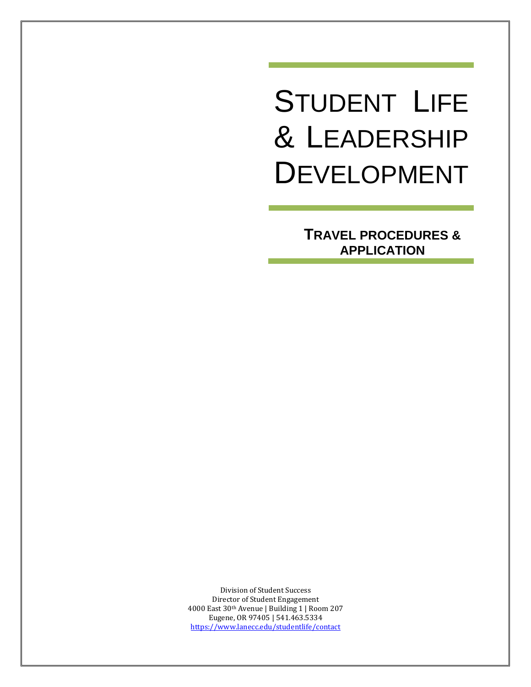# STUDENT LIFE & LEADERSHIP DEVELOPMENT

**TRAVEL PROCEDURES & APPLICATION**

Division of Student Success Director of Student Engagement 4000 East 30th Avenue | Building 1 | Room 207 Eugene, OR 97405 | 541.463.5334 <https://www.lanecc.edu/studentlife/contact>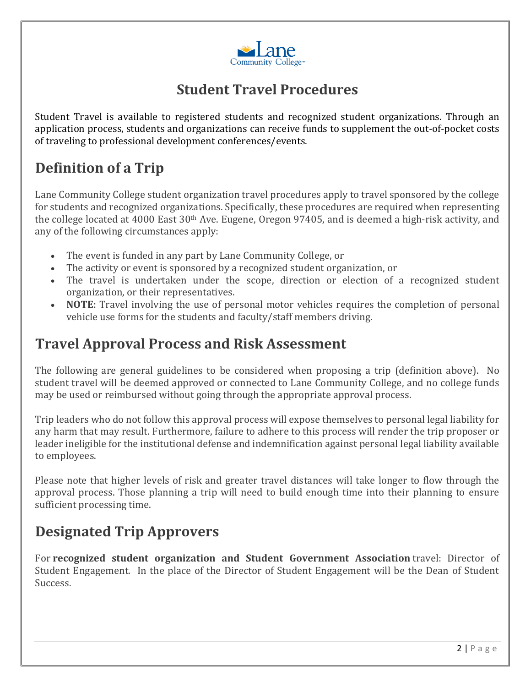

## **Student Travel Procedures**

Student Travel is available to registered students and recognized student organizations. Through an application process, students and organizations can receive funds to supplement the out-of-pocket costs of traveling to professional development conferences/events.

# **Definition of a Trip**

Lane Community College student organization travel procedures apply to travel sponsored by the college for students and recognized organizations. Specifically, these procedures are required when representing the college located at 4000 East 30th Ave. Eugene, Oregon 97405, and is deemed a high-risk activity, and any of the following circumstances apply:

- The event is funded in any part by Lane Community College, or
- The activity or event is sponsored by a recognized student organization, or
- The travel is undertaken under the scope, direction or election of a recognized student organization, or their representatives.
- **NOTE:** Travel involving the use of personal motor vehicles requires the completion of personal vehicle use forms for the students and faculty/staff members driving.

## **Travel Approval Process and Risk Assessment**

The following are general guidelines to be considered when proposing a trip (definition above). No student travel will be deemed approved or connected to Lane Community College, and no college funds may be used or reimbursed without going through the appropriate approval process.

Trip leaders who do not follow this approval process will expose themselves to personal legal liability for any harm that may result. Furthermore, failure to adhere to this process will render the trip proposer or leader ineligible for the institutional defense and indemnification against personal legal liability available to employees.

Please note that higher levels of risk and greater travel distances will take longer to flow through the approval process. Those planning a trip will need to build enough time into their planning to ensure sufficient processing time.

# **Designated Trip Approvers**

For **recognized student organization and Student Government Association** travel: Director of Student Engagement. In the place of the Director of Student Engagement will be the Dean of Student Success.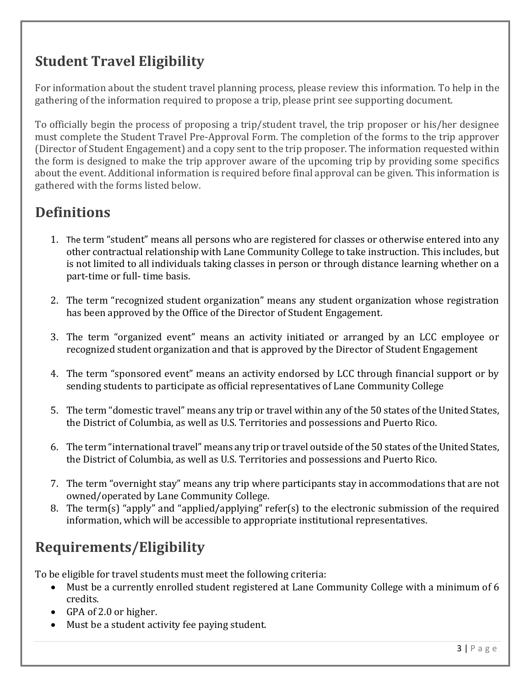# **Student Travel Eligibility**

For information about the student travel planning process, please review this information. To help in the gathering of the information required to propose a trip, please print see supporting document.

To officially begin the process of proposing a trip/student travel, the trip proposer or his/her designee must complete the Student Travel Pre-Approval Form. The completion of the forms to the trip approver (Director of Student Engagement) and a copy sent to the trip proposer. The information requested within the form is designed to make the trip approver aware of the upcoming trip by providing some specifics about the event. Additional information is required before final approval can be given. This information is gathered with the forms listed below.

# **Definitions**

- 1. The term "student" means all persons who are registered for classes or otherwise entered into any other contractual relationship with Lane Community College to take instruction. This includes, but is not limited to all individuals taking classes in person or through distance learning whether on a part-time or full- time basis.
- 2. The term "recognized student organization" means any student organization whose registration has been approved by the Office of the Director of Student Engagement.
- 3. The term "organized event" means an activity initiated or arranged by an LCC employee or recognized student organization and that is approved by the Director of Student Engagement
- 4. The term "sponsored event" means an activity endorsed by LCC through financial support or by sending students to participate as official representatives of Lane Community College
- 5. The term "domestic travel" means any trip or travel within any of the 50 states of the United States, the District of Columbia, as well as U.S. Territories and possessions and Puerto Rico.
- 6. The term "international travel" means any trip or travel outside of the 50 states of the United States, the District of Columbia, as well as U.S. Territories and possessions and Puerto Rico.
- 7. The term "overnight stay" means any trip where participants stay in accommodations that are not owned/operated by Lane Community College.
- 8. The term(s) "apply" and "applied/applying" refer(s) to the electronic submission of the required information, which will be accessible to appropriate institutional representatives.

# **Requirements/Eligibility**

To be eligible for travel students must meet the following criteria:

- Must be a currently enrolled student registered at Lane Community College with a minimum of 6 credits.
- GPA of 2.0 or higher.
- Must be a student activity fee paying student.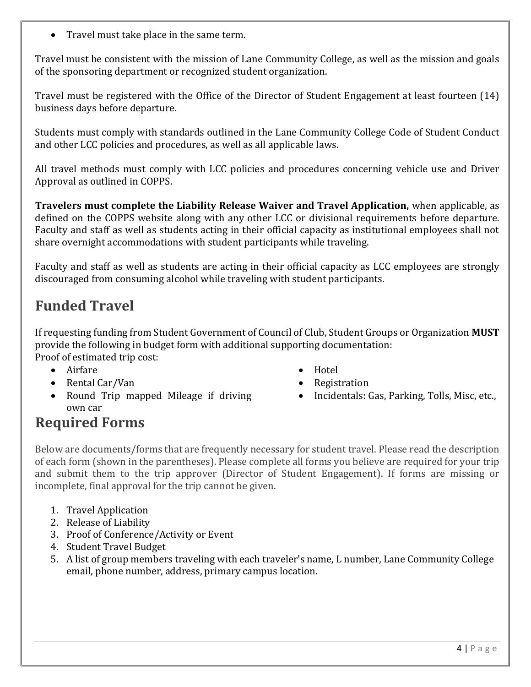• Travel must take place in the same term.

Travel must be consistent with the mission of Lane Community College, as well as the mission and goals of the sponsoring department or recognized student organization.

Travel must be registered with the Office of the Director of Student Engagement at least fourteen (14) business days before departure.

Students must comply with standards outlined in the Lane Community College Code of Student Conduct and other LCC policies and procedures, as well as all applicable laws.

All travel methods must comply with LCC policies and procedures concerning vehicle use and Driver Approval as outlined in COPPS.

**Travelers must complete the Liability Release Waiver and Travel Application,** when applicable, as defined on the COPPS website along with any other LCC or divisional requirements before departure. Faculty and staff as well as students acting in their official capacity as institutional employees shall not share overnight accommodations with student participants while traveling.

Faculty and staff as well as students are acting in their official capacity as LCC employees are strongly discouraged from consuming alcohol while traveling with student participants.

## **Funded Travel**

If requesting funding from Student Government of Council of Club, Student Groups or Organization **MUST** provide the following in budget form with additional supporting documentation: Proof of estimated trip cost:

- Airfare
- Rental Car/Van
- Round Trip mapped Mileage if driving own car
- Hotel
- Registration
- Incidentals: Gas, Parking, Tolls, Misc, etc.,

#### **Required Forms**

Below are documents/forms that are frequently necessary for student travel. Please read the description of each form (shown in the parentheses). Please complete all forms you believe are required for your trip and submit them to the trip approver (Director of Student Engagement). If forms are missing or incomplete, final approval for the trip cannot be given.

- 1. Travel Application
- 2. Release of Liability
- 3. Proof of Conference/Activity or Event
- 4. Student Travel Budget
- 5. A list of group members traveling with each traveler's name, L number, Lane Community College email, phone number, address, primary campus location.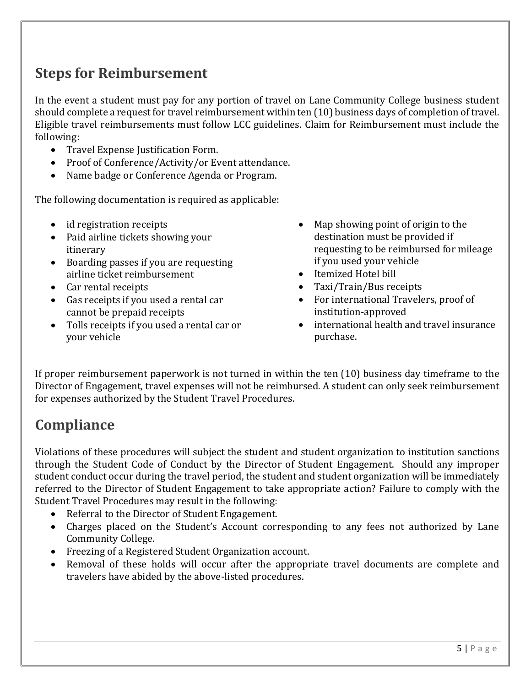## **Steps for Reimbursement**

In the event a student must pay for any portion of travel on Lane Community College business student should complete a request for travel reimbursement within ten (10) business days of completion of travel. Eligible travel reimbursements must follow LCC guidelines. Claim for Reimbursement must include the following:

- Travel Expense Justification Form.
- Proof of Conference/Activity/or Event attendance.
- Name badge or Conference Agenda or Program.

The following documentation is required as applicable:

- id registration receipts
- Paid airline tickets showing your itinerary
- Boarding passes if you are requesting airline ticket reimbursement
- Car rental receipts
- Gas receipts if you used a rental car cannot be prepaid receipts
- Tolls receipts if you used a rental car or your vehicle
- Map showing point of origin to the destination must be provided if requesting to be reimbursed for mileage if you used your vehicle
- Itemized Hotel bill
- Taxi/Train/Bus receipts
- For international Travelers, proof of institution-approved
- international health and travel insurance purchase.

If proper reimbursement paperwork is not turned in within the ten (10) business day timeframe to the Director of Engagement, travel expenses will not be reimbursed. A student can only seek reimbursement for expenses authorized by the Student Travel Procedures.

# **Compliance**

Violations of these procedures will subject the student and student organization to institution sanctions through the Student Code of Conduct by the Director of Student Engagement. Should any improper student conduct occur during the travel period, the student and student organization will be immediately referred to the Director of Student Engagement to take appropriate action? Failure to comply with the Student Travel Procedures may result in the following:

- Referral to the Director of Student Engagement.
- Charges placed on the Student's Account corresponding to any fees not authorized by Lane Community College.
- Freezing of a Registered Student Organization account.
- Removal of these holds will occur after the appropriate travel documents are complete and travelers have abided by the above-listed procedures.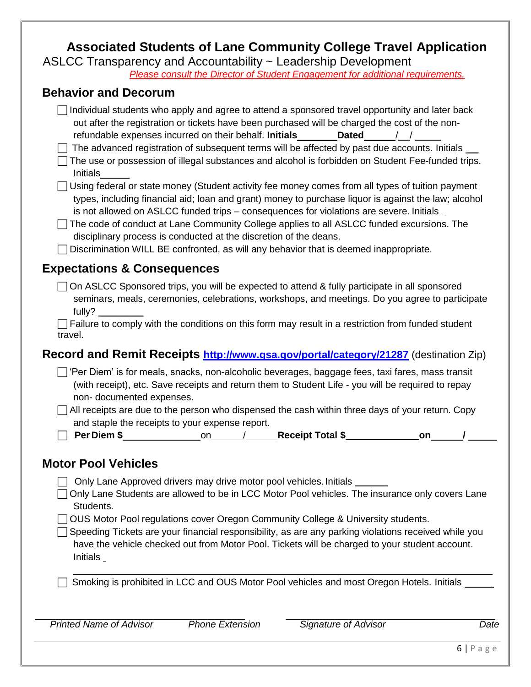#### **Associated Students of Lane Community College Travel Application**

ASLCC Transparency and Accountability ~ Leadership Development

*Please consult the Director of Student Engagement for additional requirements.*

#### **Behavior and Decorum**

| Individual students who apply and agree to attend a sponsored travel opportunity and later back<br>out after the registration or tickets have been purchased will be charged the cost of the non-<br>The advanced registration of subsequent terms will be affected by past due accounts. Initials __<br>The use or possession of illegal substances and alcohol is forbidden on Student Fee-funded trips.<br>Initials<br>Using federal or state money (Student activity fee money comes from all types of tuition payment<br>types, including financial aid; loan and grant) money to purchase liquor is against the law; alcohol<br>is not allowed on ASLCC funded trips - consequences for violations are severe. Initials _<br>The code of conduct at Lane Community College applies to all ASLCC funded excursions. The<br>disciplinary process is conducted at the discretion of the deans.<br>Discrimination WILL BE confronted, as will any behavior that is deemed inappropriate. |
|--------------------------------------------------------------------------------------------------------------------------------------------------------------------------------------------------------------------------------------------------------------------------------------------------------------------------------------------------------------------------------------------------------------------------------------------------------------------------------------------------------------------------------------------------------------------------------------------------------------------------------------------------------------------------------------------------------------------------------------------------------------------------------------------------------------------------------------------------------------------------------------------------------------------------------------------------------------------------------------------|
| <b>Expectations &amp; Consequences</b>                                                                                                                                                                                                                                                                                                                                                                                                                                                                                                                                                                                                                                                                                                                                                                                                                                                                                                                                                     |
| On ASLCC Sponsored trips, you will be expected to attend & fully participate in all sponsored<br>seminars, meals, ceremonies, celebrations, workshops, and meetings. Do you agree to participate<br>fully?<br>Failure to comply with the conditions on this form may result in a restriction from funded student<br>travel.                                                                                                                                                                                                                                                                                                                                                                                                                                                                                                                                                                                                                                                                |
| Record and Remit Receipts http://www.gsa.gov/portal/category/21287 (destination Zip)                                                                                                                                                                                                                                                                                                                                                                                                                                                                                                                                                                                                                                                                                                                                                                                                                                                                                                       |
| □ 'Per Diem' is for meals, snacks, non-alcoholic beverages, baggage fees, taxi fares, mass transit<br>(with receipt), etc. Save receipts and return them to Student Life - you will be required to repay<br>non-documented expenses.<br>All receipts are due to the person who dispensed the cash within three days of your return. Copy<br>and staple the receipts to your expense report.                                                                                                                                                                                                                                                                                                                                                                                                                                                                                                                                                                                                |
| on                                                                                                                                                                                                                                                                                                                                                                                                                                                                                                                                                                                                                                                                                                                                                                                                                                                                                                                                                                                         |
| <b>Motor Pool Vehicles</b>                                                                                                                                                                                                                                                                                                                                                                                                                                                                                                                                                                                                                                                                                                                                                                                                                                                                                                                                                                 |
| <b>The Audient Corporation of the community delivery of the contract of the United States</b>                                                                                                                                                                                                                                                                                                                                                                                                                                                                                                                                                                                                                                                                                                                                                                                                                                                                                              |

□ Only Lane Approved drivers may drive motor pool vehicles. Initials

□ Only Lane Students are allowed to be in LCC Motor Pool vehicles. The insurance only covers Lane Students.

◯ OUS Motor Pool regulations cover Oregon Community College & University students.

 $\Box$  Speeding Tickets are your financial responsibility, as are any parking violations received while you have the vehicle checked out from Motor Pool. Tickets will be charged to your student account. Initials

 $\Box$  Smoking is prohibited in LCC and OUS Motor Pool vehicles and most Oregon Hotels. Initials

*Printed Name of Advisor Phone Extension Signature of Advisor Date*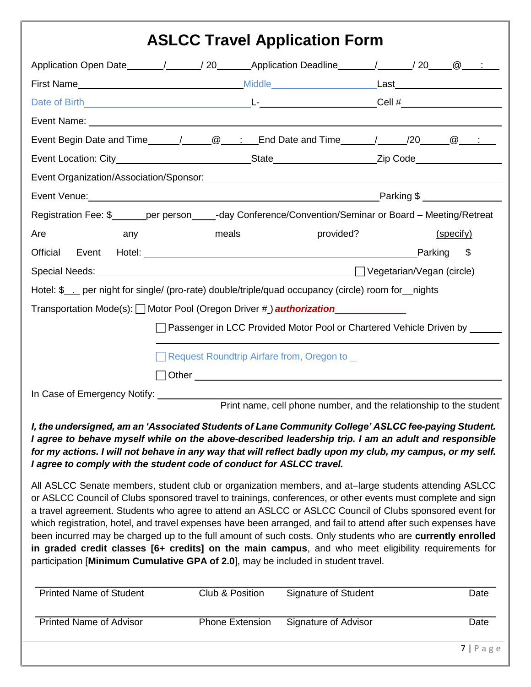# **ASLCC Travel Application Form**

| Registration Fee: \$______per person_____-day Conference/Convention/Seminar or Board - Meeting/Retreat                                                                                                                         |                                                                           |  |               |  |
|--------------------------------------------------------------------------------------------------------------------------------------------------------------------------------------------------------------------------------|---------------------------------------------------------------------------|--|---------------|--|
| Are<br>any                                                                                                                                                                                                                     | meals<br>provided?                                                        |  | (specify)     |  |
| Official Event Hotel: 1998 Contract Contract Contract Contract Contract Contract Contract Contract Contract Contract Contract Contract Contract Contract Contract Contract Contract Contract Contract Contract Contract Contra |                                                                           |  | Parking<br>\$ |  |
| Special Needs: Contract of the Contract of the Contract of The Contract of The Contract of The Contract of The Contract of The Contract of The Contract of The Contract of The Contract of The Contract of The Contract of The |                                                                           |  |               |  |
| Hotel: \$___ per night for single/ (pro-rate) double/triple/quad occupancy (circle) room for_nights                                                                                                                            |                                                                           |  |               |  |
| Transportation Mode(s): □ Motor Pool (Oregon Driver #) <b>authorization</b> Model Context                                                                                                                                      |                                                                           |  |               |  |
|                                                                                                                                                                                                                                | Passenger in LCC Provided Motor Pool or Chartered Vehicle Driven by _____ |  |               |  |
|                                                                                                                                                                                                                                |                                                                           |  |               |  |
|                                                                                                                                                                                                                                | Request Roundtrip Airfare from, Oregon to                                 |  |               |  |
|                                                                                                                                                                                                                                |                                                                           |  |               |  |
|                                                                                                                                                                                                                                | Print name, cell phone number, and the relationship to the student        |  |               |  |
|                                                                                                                                                                                                                                |                                                                           |  |               |  |

#### *I, the undersigned, am an 'Associated Students of Lane Community College' ASLCC fee-paying Student. I agree to behave myself while on the above-described leadership trip. I am an adult and responsible for my actions. I will not behave in any way that will reflect badly upon my club, my campus, or my self. I agree to comply with the student code of conduct for ASLCC travel.*

All ASLCC Senate members, student club or organization members, and at–large students attending ASLCC or ASLCC Council of Clubs sponsored travel to trainings, conferences, or other events must complete and sign a travel agreement. Students who agree to attend an ASLCC or ASLCC Council of Clubs sponsored event for which registration, hotel, and travel expenses have been arranged, and fail to attend after such expenses have been incurred may be charged up to the full amount of such costs. Only students who are **currently enrolled in graded credit classes [6+ credits] on the main campus**, and who meet eligibility requirements for participation [**Minimum Cumulative GPA of 2.0**], may be included in student travel.

| <b>Printed Name of Student</b> | Club & Position        | <b>Signature of Student</b> | Date       |
|--------------------------------|------------------------|-----------------------------|------------|
| <b>Printed Name of Advisor</b> | <b>Phone Extension</b> | Signature of Advisor        | Date       |
|                                |                        |                             | $7$   Page |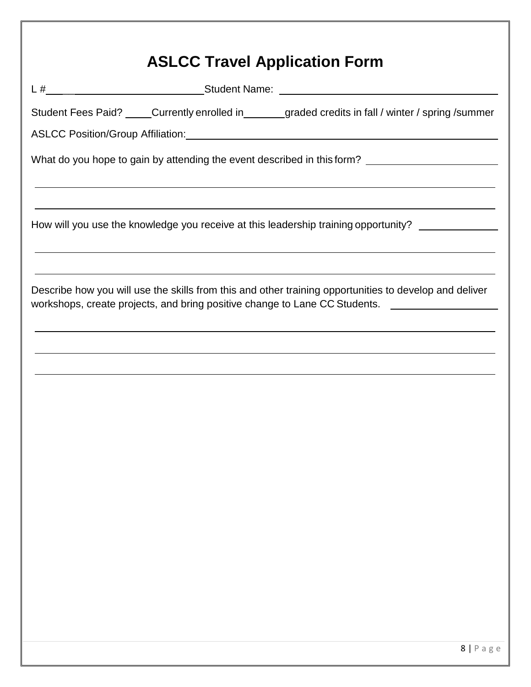|  | Student Fees Paid? _____Currently enrolled in________graded credits in fall / winter / spring /summer                                                                                                                       |  |  |
|--|-----------------------------------------------------------------------------------------------------------------------------------------------------------------------------------------------------------------------------|--|--|
|  | ASLCC Position/Group Affiliation: Management Control of ASLCC Position/Group Affiliation:                                                                                                                                   |  |  |
|  | What do you hope to gain by attending the event described in this form? ___________________________<br><u> 1989 - Andrea Santa Alemania, amerikana amerikana amerikana amerikana amerikana amerikana amerikana amerikan</u> |  |  |
|  | <u> 1989 - Jan Samuel Barbara, margaret amerikan basar dan berasal dalam berasal dalam berasal dalam berasal dala</u><br>How will you use the knowledge you receive at this leadership training opportunity? ______________ |  |  |
|  | ,我们也不会有什么。""我们的人,我们也不会有什么?""我们的人,我们也不会有什么?""我们的人,我们的人,我们也不会有什么?""我们的人,我们的人,我们的人,我                                                                                                                                           |  |  |
|  | Describe how you will use the skills from this and other training opportunities to develop and deliver<br>workshops, create projects, and bring positive change to Lane CC Students.                                        |  |  |
|  | ,我们也不能在这里的时候,我们也不能在这里的时候,我们也不能在这里的时候,我们也不能会不能会不能会不能会不能会不能会不能会。<br>第2012章 我们的时候,我们的时候,我们的时候,我们的时候,我们的时候,我们的时候,我们的时候,我们的时候,我们的时候,我们的时候,我们的时候,我们的时候,我                                                                          |  |  |
|  | <u> 1989 - Andrea Santa Alemania, amerikana amerikana amerikana amerikana amerikana amerikana amerikana amerikan</u>                                                                                                        |  |  |
|  |                                                                                                                                                                                                                             |  |  |
|  | <u> 1989 - Andrea Santa Alemania, amerikana amerikana amerikana amerikana amerikana amerikana amerikana amerikan</u>                                                                                                        |  |  |
|  |                                                                                                                                                                                                                             |  |  |
|  |                                                                                                                                                                                                                             |  |  |
|  |                                                                                                                                                                                                                             |  |  |
|  |                                                                                                                                                                                                                             |  |  |
|  |                                                                                                                                                                                                                             |  |  |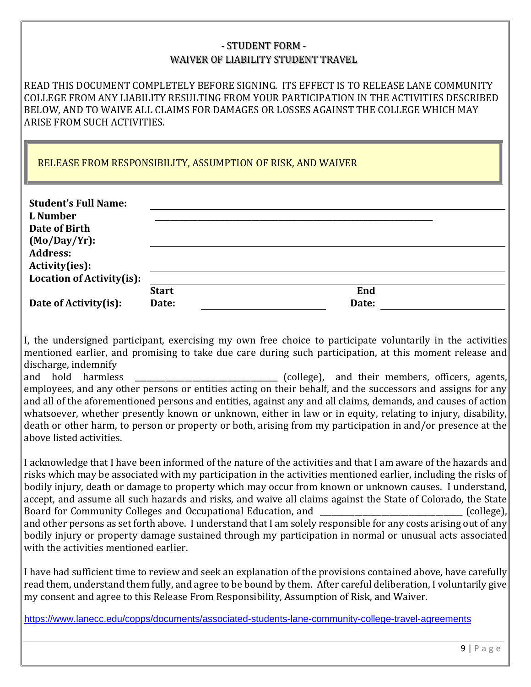#### - STUDENT FORM - WAIVER OF LIABILITY STUDENT TRAVEL

READ THIS DOCUMENT COMPLETELY BEFORE SIGNING. ITS EFFECT IS TO RELEASE LANE COMMUNITY COLLEGE FROM ANY LIABILITY RESULTING FROM YOUR PARTICIPATION IN THE ACTIVITIES DESCRIBED BELOW, AND TO WAIVE ALL CLAIMS FOR DAMAGES OR LOSSES AGAINST THE COLLEGE WHICH MAY ARISE FROM SUCH ACTIVITIES.

RELEASE FROM RESPONSIBILITY, ASSUMPTION OF RISK, AND WAIVER

| <b>Student's Full Name:</b><br>L Number<br>Date of Birth<br>$(Mo/Day/Yr)$ :<br><b>Address:</b> |              |       |  |
|------------------------------------------------------------------------------------------------|--------------|-------|--|
| Activity(ies):                                                                                 |              |       |  |
| Location of Activity(is):                                                                      |              |       |  |
|                                                                                                | <b>Start</b> | End   |  |
| Date of Activity(is):                                                                          | Date:        | Date: |  |

I, the undersigned participant, exercising my own free choice to participate voluntarily in the activities mentioned earlier, and promising to take due care during such participation, at this moment release and discharge, indemnify

and hold harmless \_\_\_\_\_\_\_\_\_\_\_\_\_\_\_\_\_\_\_\_\_\_\_\_\_\_\_\_\_\_\_\_\_\_\_\_\_ (college), and their members, officers, agents, employees, and any other persons or entities acting on their behalf, and the successors and assigns for any and all of the aforementioned persons and entities, against any and all claims, demands, and causes of action whatsoever, whether presently known or unknown, either in law or in equity, relating to injury, disability, death or other harm, to person or property or both, arising from my participation in and/or presence at the above listed activities.

I acknowledge that I have been informed of the nature of the activities and that I am aware of the hazards and risks which may be associated with my participation in the activities mentioned earlier, including the risks of bodily injury, death or damage to property which may occur from known or unknown causes. I understand, accept, and assume all such hazards and risks, and waive all claims against the State of Colorado, the State Board for Community Colleges and Occupational Education, and \_\_\_\_\_\_\_\_\_\_\_\_\_\_\_\_\_\_\_\_\_\_\_\_\_\_\_\_\_\_\_\_\_\_\_\_\_ (college), and other persons as set forth above. I understand that I am solely responsible for any costs arising out of any bodily injury or property damage sustained through my participation in normal or unusual acts associated with the activities mentioned earlier.

I have had sufficient time to review and seek an explanation of the provisions contained above, have carefully read them, understand them fully, and agree to be bound by them. After careful deliberation, I voluntarily give my consent and agree to this Release From Responsibility, Assumption of Risk, and Waiver.

<https://www.lanecc.edu/copps/documents/associated-students-lane-community-college-travel-agreements>